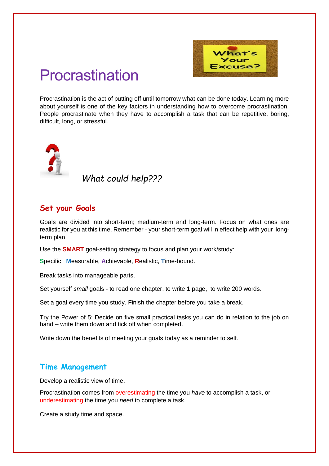

# Procrastination

Procrastination is the act of putting off until tomorrow what can be done today. Learning more about yourself is one of the key factors in understanding how to overcome procrastination. People procrastinate when they have to accomplish a task that can be repetitive, boring, difficult, long, or stressful.



*What could help???*

## **Set your Goals**

Goals are divided into short-term; medium-term and long-term. Focus on what ones are realistic for you at this time. Remember - your short-term goal will in effect help with your longterm plan.

Use the **SMART** goal-setting strategy to focus and plan your work/study:

**S**pecific, **M**easurable, **A**chievable, **R**ealistic, **T**ime-bound.

Break tasks into manageable parts.

Set yourself *small* goals - to read one chapter, to write 1 page, to write 200 words.

Set a goal every time you study. Finish the chapter before you take a break.

Try the Power of 5: Decide on five small practical tasks you can do in relation to the job on hand – write them down and tick off when completed.

Write down the benefits of meeting your goals today as a reminder to self.

## **Time Management**

Develop a realistic view of time.

Procrastination comes from overestimating the time you *have* to accomplish a task, or underestimating the time you *need* to complete a task.

Create a study time and space.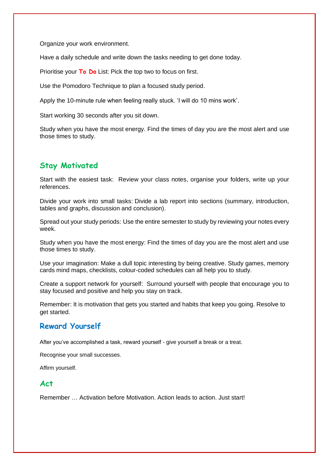Organize your work environment.

Have a daily schedule and write down the tasks needing to get done today.

Prioritise your **To Do** List: Pick the top two to focus on first.

Use the Pomodoro Technique to plan a focused study period.

Apply the 10-minute rule when feeling really stuck. 'I will do 10 mins work'.

Start working 30 seconds after you sit down.

Study when you have the most energy. Find the times of day you are the most alert and use those times to study.

## **Stay Motivated**

Start with the easiest task: Review your class notes, organise your folders, write up your references.

Divide your work into small tasks: Divide a lab report into sections (summary, introduction, tables and graphs, discussion and conclusion).

Spread out your study periods: Use the entire semester to study by reviewing your notes every week.

Study when you have the most energy: Find the times of day you are the most alert and use those times to study.

Use your imagination: Make a dull topic interesting by being creative. Study games, memory cards mind maps, checklists, colour-coded schedules can all help you to study.

Create a support network for yourself: Surround yourself with people that encourage you to stay focused and positive and help you stay on track.

Remember: It is motivation that gets you started and habits that keep you going. Resolve to get started.

## **Reward Yourself**

After you've accomplished a task, reward yourself - give yourself a break or a treat.

Recognise your small successes.

Affirm yourself.

#### **Act**

Remember … Activation before Motivation. Action leads to action. Just start!